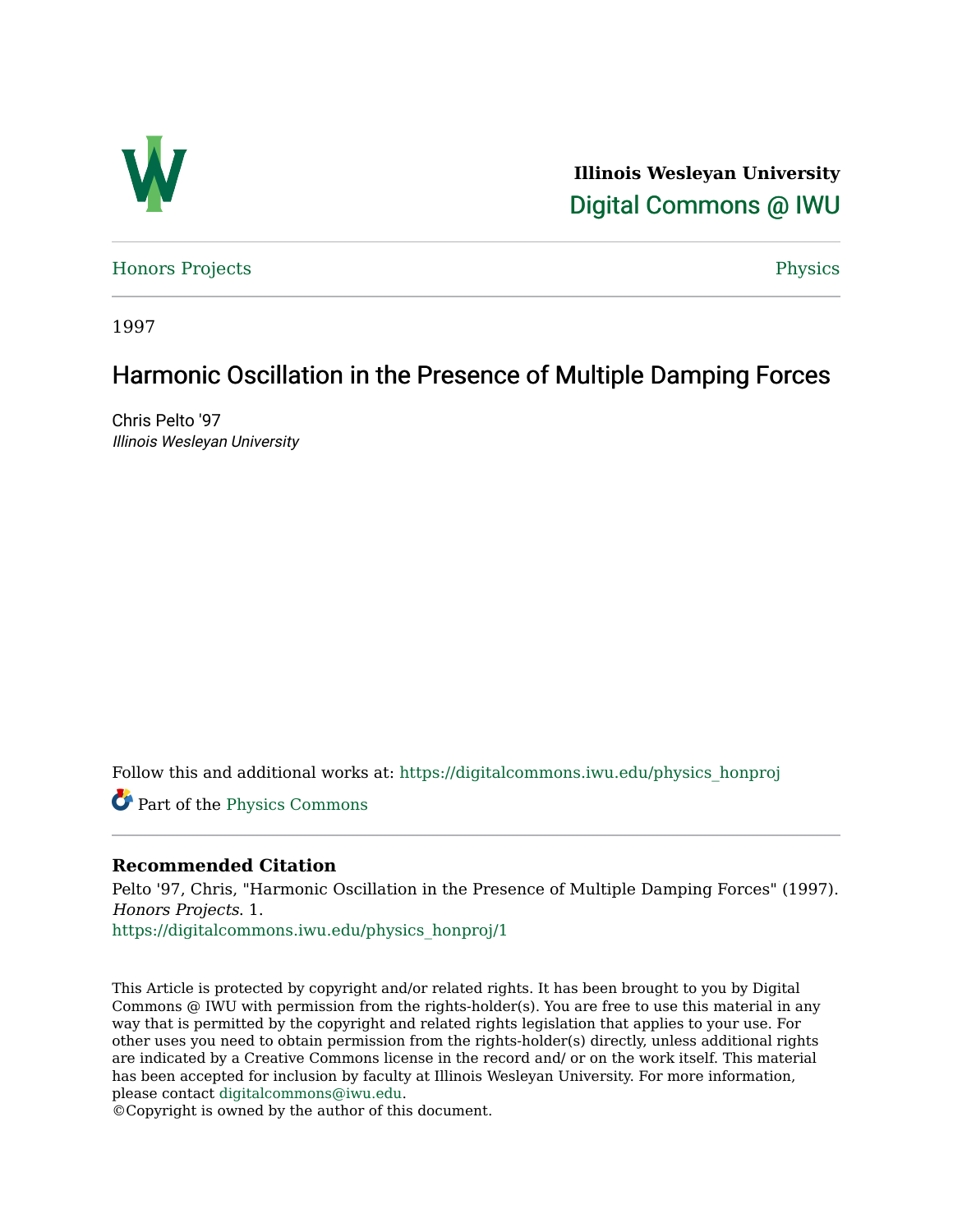

**Illinois Wesleyan University**  [Digital Commons @ IWU](https://digitalcommons.iwu.edu/) 

[Honors Projects](https://digitalcommons.iwu.edu/physics_honproj) Physics

1997

## Harmonic Oscillation in the Presence of Multiple Damping Forces

Chris Pelto '97 Illinois Wesleyan University

Follow this and additional works at: [https://digitalcommons.iwu.edu/physics\\_honproj](https://digitalcommons.iwu.edu/physics_honproj?utm_source=digitalcommons.iwu.edu%2Fphysics_honproj%2F1&utm_medium=PDF&utm_campaign=PDFCoverPages) 

Part of the [Physics Commons](http://network.bepress.com/hgg/discipline/193?utm_source=digitalcommons.iwu.edu%2Fphysics_honproj%2F1&utm_medium=PDF&utm_campaign=PDFCoverPages) 

#### **Recommended Citation**

Pelto '97, Chris, "Harmonic Oscillation in the Presence of Multiple Damping Forces" (1997). Honors Projects. 1.

[https://digitalcommons.iwu.edu/physics\\_honproj/1](https://digitalcommons.iwu.edu/physics_honproj/1?utm_source=digitalcommons.iwu.edu%2Fphysics_honproj%2F1&utm_medium=PDF&utm_campaign=PDFCoverPages) 

This Article is protected by copyright and/or related rights. It has been brought to you by Digital Commons @ IWU with permission from the rights-holder(s). You are free to use this material in any way that is permitted by the copyright and related rights legislation that applies to your use. For other uses you need to obtain permission from the rights-holder(s) directly, unless additional rights are indicated by a Creative Commons license in the record and/ or on the work itself. This material has been accepted for inclusion by faculty at Illinois Wesleyan University. For more information, please contact [digitalcommons@iwu.edu.](mailto:digitalcommons@iwu.edu)

©Copyright is owned by the author of this document.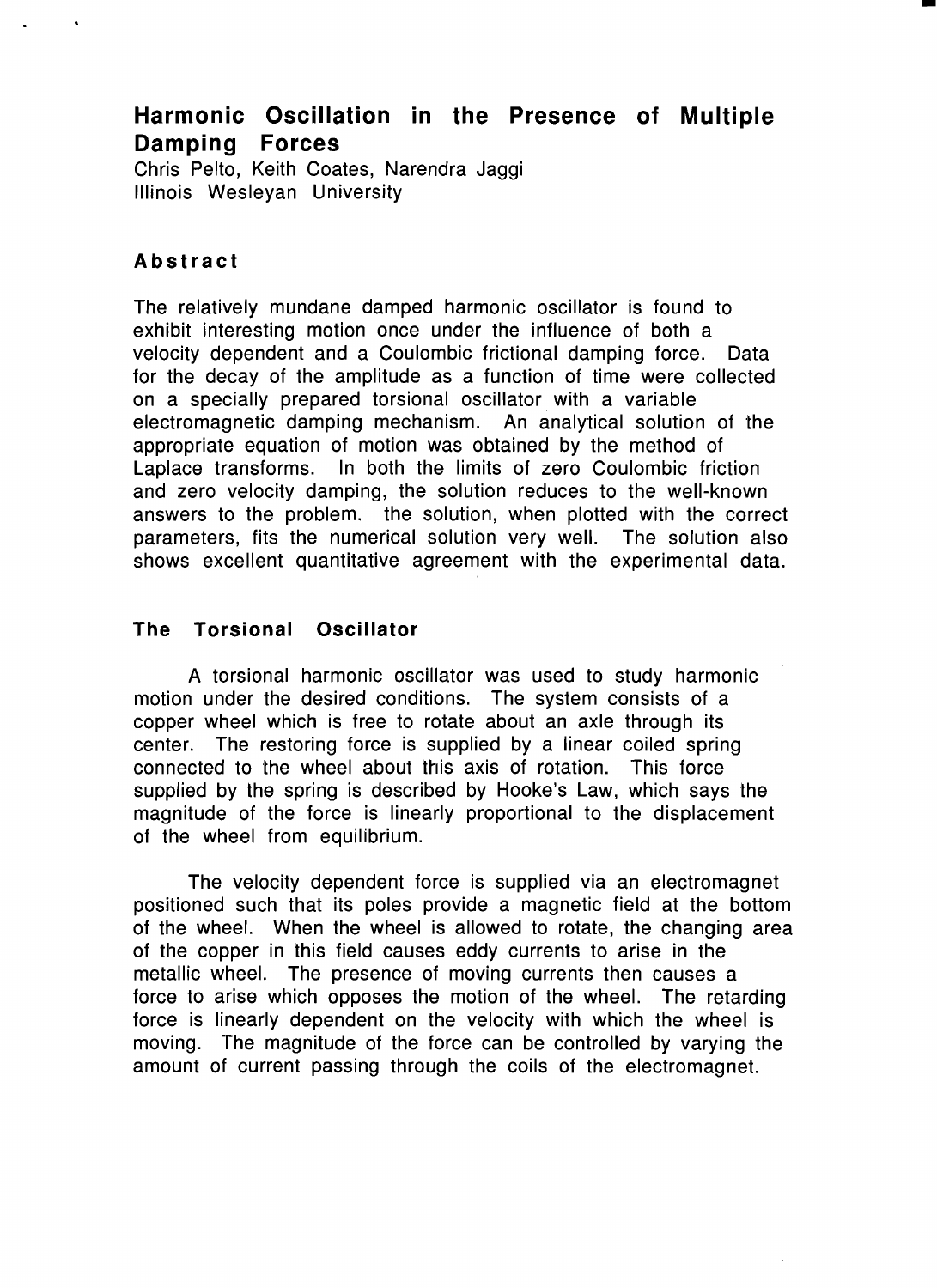# **Harmonic Oscillation in the Presence of Multiple Damping Forces**

-

Chris Pelto, Keith Coates, Narendra Jaggi Illinois Wesleyan University

### **Abstract**

The relatively mundane damped harmonic oscillator is found to exhibit interesting motion once under the influence of both a velocity dependent and a Coulombic frictional damping force. Data for the decay of the amplitude as a function of time were collected on a specially prepared torsional oscillator. with a variable electromagnetic damping mechanism. An analytical solution of the appropriate equation of motion was obtained by the method of Laplace transforms. In both the limits of zero Coulombic friction and zero velocity damping, the solution reduces to the well-known answers to the problem. the solution, when plotted with the correct parameters, fits the numerical solution very well. The solution also shows excellent quantitative agreement with the experimental data.

### **The Torsional Oscillator**

A torsional harmonic oscillator was used to study harmonic motion under the desired conditions. The system consists of a copper wheel which is free to rotate about an axle through its center. The restoring force is supplied by a linear coiled spring connected to the wheel about this axis of rotation. This force supplied by the spring is described by Hooke's Law, which says the magnitude of the force is linearly proportional to the displacement of the wheel from equilibrium.

The velocity dependent force is supplied via an electromagnet positioned such that its poles provide a magnetic field at the bottom of the wheel. When the wheel is allowed to rotate, the changing area of the copper in this field causes eddy currents to arise in the metallic wheel. The presence of moving currents then causes a force to arise which opposes the motion of the wheel. The retarding force is linearly dependent on the velocity with which the wheel is moving. The magnitude of the force can be controlled by varying the amount of current passing through the coils of the electromagnet.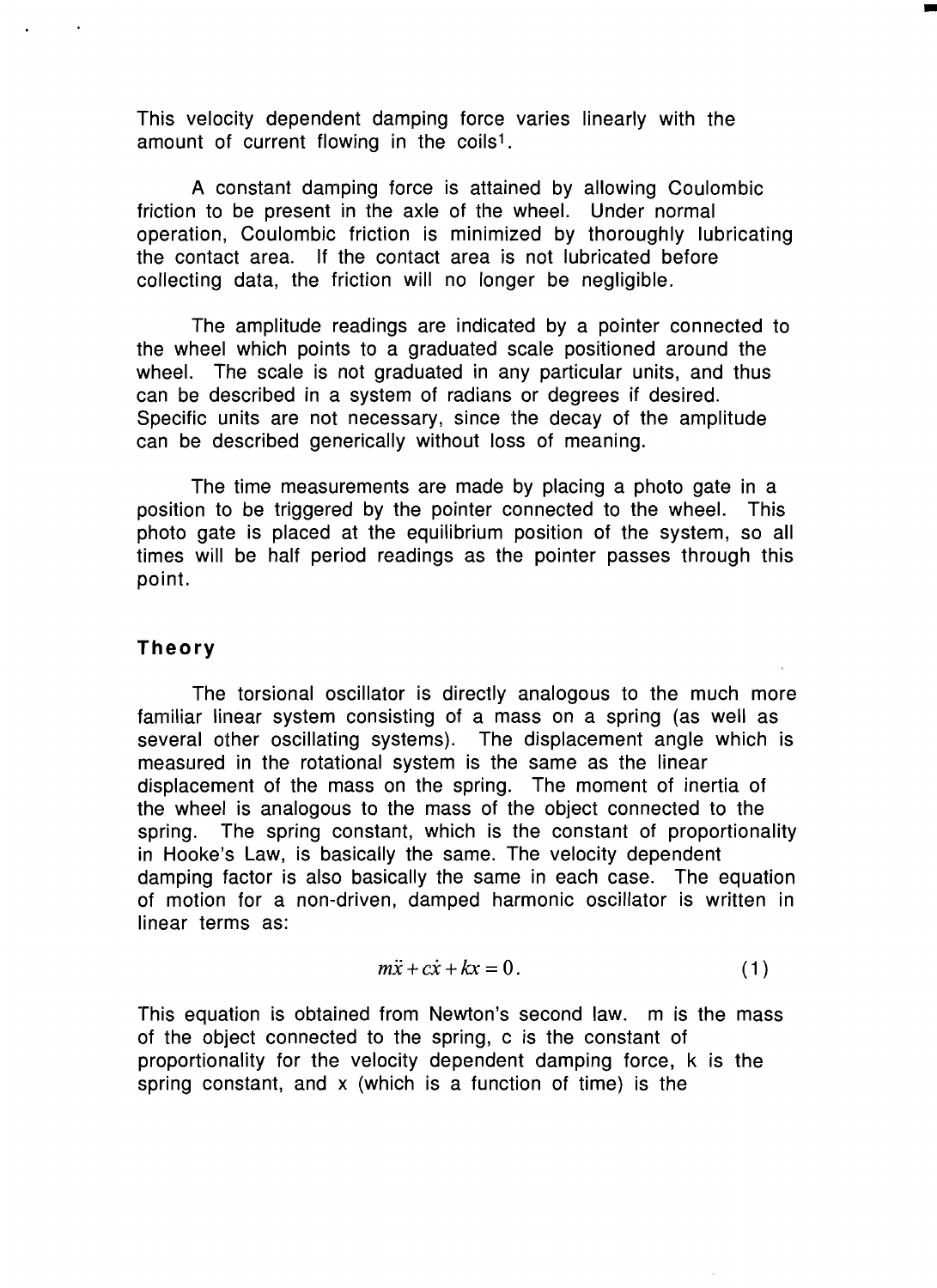This velocity dependent damping force varies linearly with the amount of current flowing in the coils<sup>1</sup>.

A constant damping force is attained by allowing Coulombic friction to be present in the axle of the wheel. Under normal operation, Coulombic friction is minimized by thoroughly lubricating the contact area. If the contact area is not lubricated before collecting data, the friction will no longer be negligible.

•

The amplitude readings are indicated by a pointer connected to the wheel which points to a graduated scale positioned around the wheel. The scale is not graduated in any particular units, and thus can be described in a system of radians or degrees if desired. Specific units are not necessary, since the decay of the amplitude can be described generically without loss of meaning.

The time measurements are made by placing a photo gate in a position to be triggered by the pointer connected to the wheel. This photo gate is placed at the equilibrium position of the system, so all times will be half period readings as the pointer passes through this point.

### **Theory**

The torsional oscillator is directly analogous to the much more familiar linear system consisting of a mass on a spring (as well as several other oscillating systems). The displacement angle which is measured in the rotational system is the same as the linear displacement of the mass on the spring. The moment of inertia of the wheel is analogous to the mass of the object connected to the spring. The spring constant, which is the constant of proportionality in Hooke's Law, is basically the same. The velocity dependent damping factor is also basically the same in each case. The equation of motion for a non-driven, damped harmonic oscillator is written in linear terms as:

$$
m\ddot{x} + c\dot{x} + kx = 0.
$$
 (1)

This equation is obtained from Newton's second law. m is the mass of the object connected to the spring, c is the constant of proportionality for the velocity dependent damping force, k is the spring constant, and x (which is a function of time) is the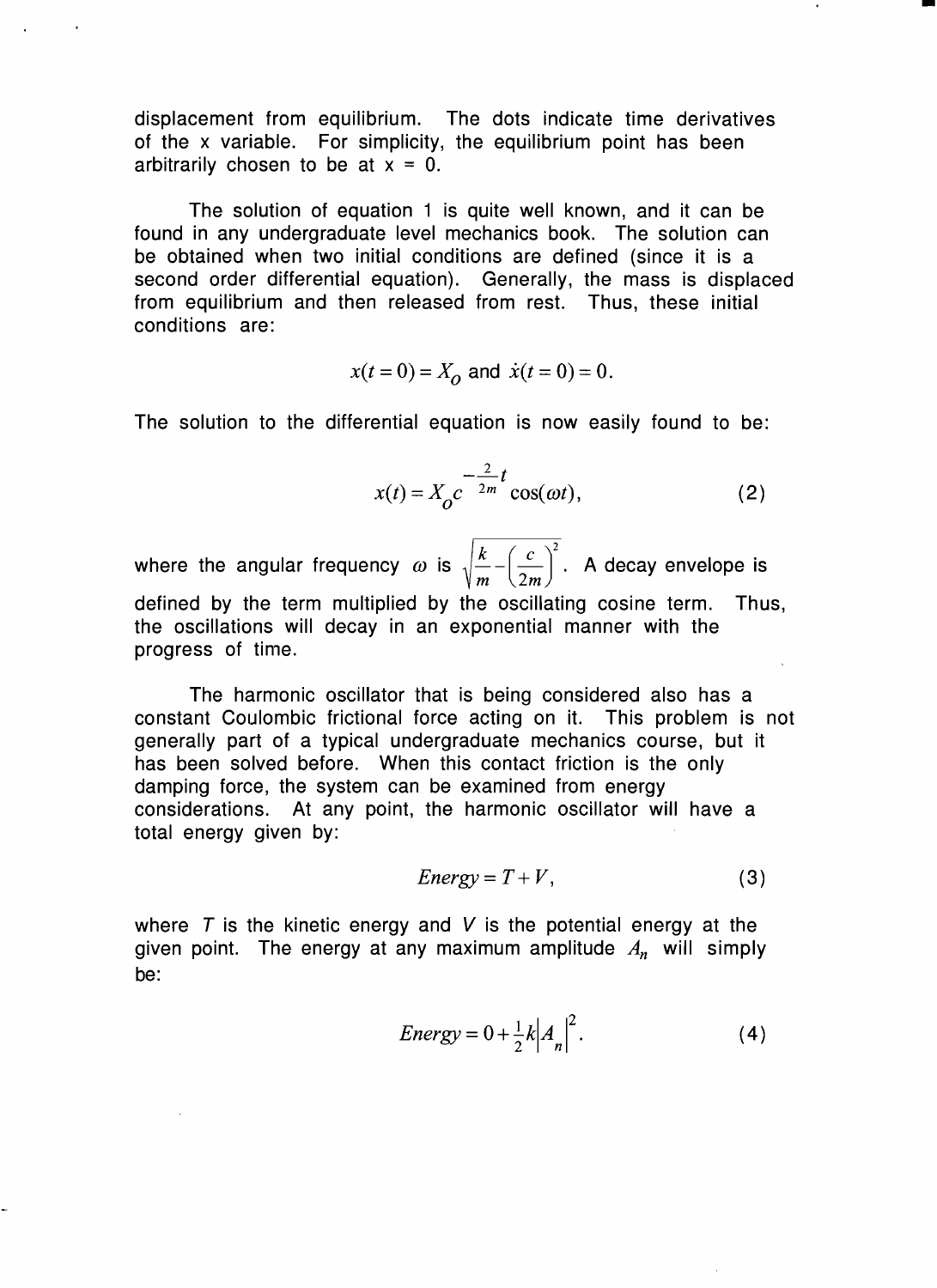displacement from equilibrium. The dots indicate time derivatives of the x variable. For simplicity, the equilibrium point has been arbitrarily chosen to be at  $x = 0$ .

The solution of equation 1 is quite well known, and it can be found in any undergraduate level mechanics book. The solution can be obtained when two initial conditions are defined (since it is a second order differential equation). Generally, the mass is displaced from equilibrium and then released from rest. Thus, these initial conditions are:

$$
x(t = 0) = X_0
$$
 and  $\dot{x}(t = 0) = 0$ .

The solution to the differential equation is now easily found to be:

$$
x(t) = X_0 c^{-\frac{2}{2m}t} \cos(\omega t),
$$
 (2)

-

where the angular frequency  $\omega$  is  $\sqrt{\frac{k}{m} - \left(\frac{c}{2m}\right)^2}$ . A decay envelope is defined by the term multiplied by the oscillating cosine term. Thus, the oscillations will decay in an exponential manner with the progress of time.

The harmonic oscillator that is being considered also has a constant Coulombic frictional force acting on it. This problem is not generally part of a typical undergraduate mechanics course, but it has been solved before. When this contact friction is the only damping force, the system can be examined from energy considerations. At any point, the harmonic oscillator will have a total energy given by:

$$
Energy = T + V, \tag{3}
$$

where  $T$  is the kinetic energy and V is the potential energy at the given point. The energy at any maximum amplitude *An* will simply be:

$$
Energy = 0 + \frac{1}{2}k \left| A_n \right|^2. \tag{4}
$$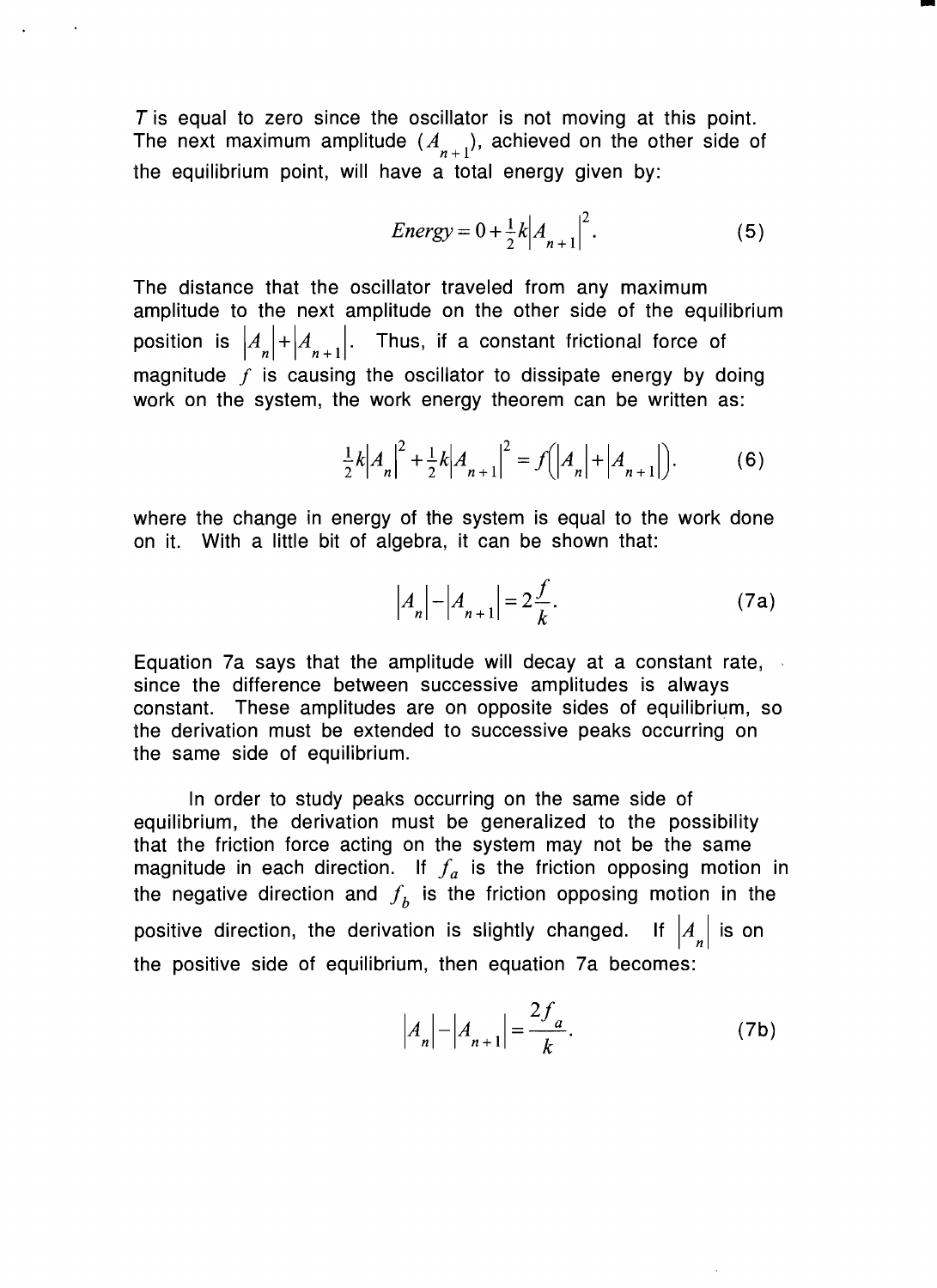$T$  is equal to zero since the oscillator is not moving at this point. The next maximum amplitude  $(A_{n+1})$ , achieved on the other side of the equilibrium point, will have a total energy given by:

Energy = 
$$
0 + \frac{1}{2}k |A_{n+1}|^2
$$
. (5)

-

The distance that the oscillator traveled from any maximum amplitude to the next amplitude on the other side of the equilibrium position is  $\left|A_n\right|+\left|A_{n+1}\right|$ . Thus, if a constant frictional force of magnitude  $f$  is causing the oscillator to dissipate energy by doing work on the system, the work energy theorem can be written as:

$$
\frac{1}{2}k|A_n|^2 + \frac{1}{2}k|A_{n+1}|^2 = f(|A_n| + |A_{n+1}|).
$$
 (6)

where the change in energy of the system is equal to the work done on it. With a little bit of algebra, it can be shown that:

$$
|A_n| - |A_{n+1}| = 2\frac{f}{k}.
$$
 (7a)

Equation 7a says that the amplitude will decay at a constant rate, ' since the difference between successive amplitudes is always constant. These amplitudes are on opposite sides of equilibrium, so the derivation must be extended to successive peaks occurring on the same side of equilibrium.

In order to study peaks occurring on the same side of equilibrium, the derivation must be generalized to the possibility that the friction force acting on the system may not be the same magnitude in each direction. If  $f_a$  is the friction opposing motion in the negative direction and  $f<sub>b</sub>$  is the friction opposing motion in the positive direction, the derivation is slightly changed. If  $\left| A_n \right|$  is on the positive side of equilibrium, then equation 7a becomes:

$$
|A_n| - |A_{n+1}| = \frac{2f_a}{k}.
$$
 (7b)

 $\ddot{\phantom{a}}$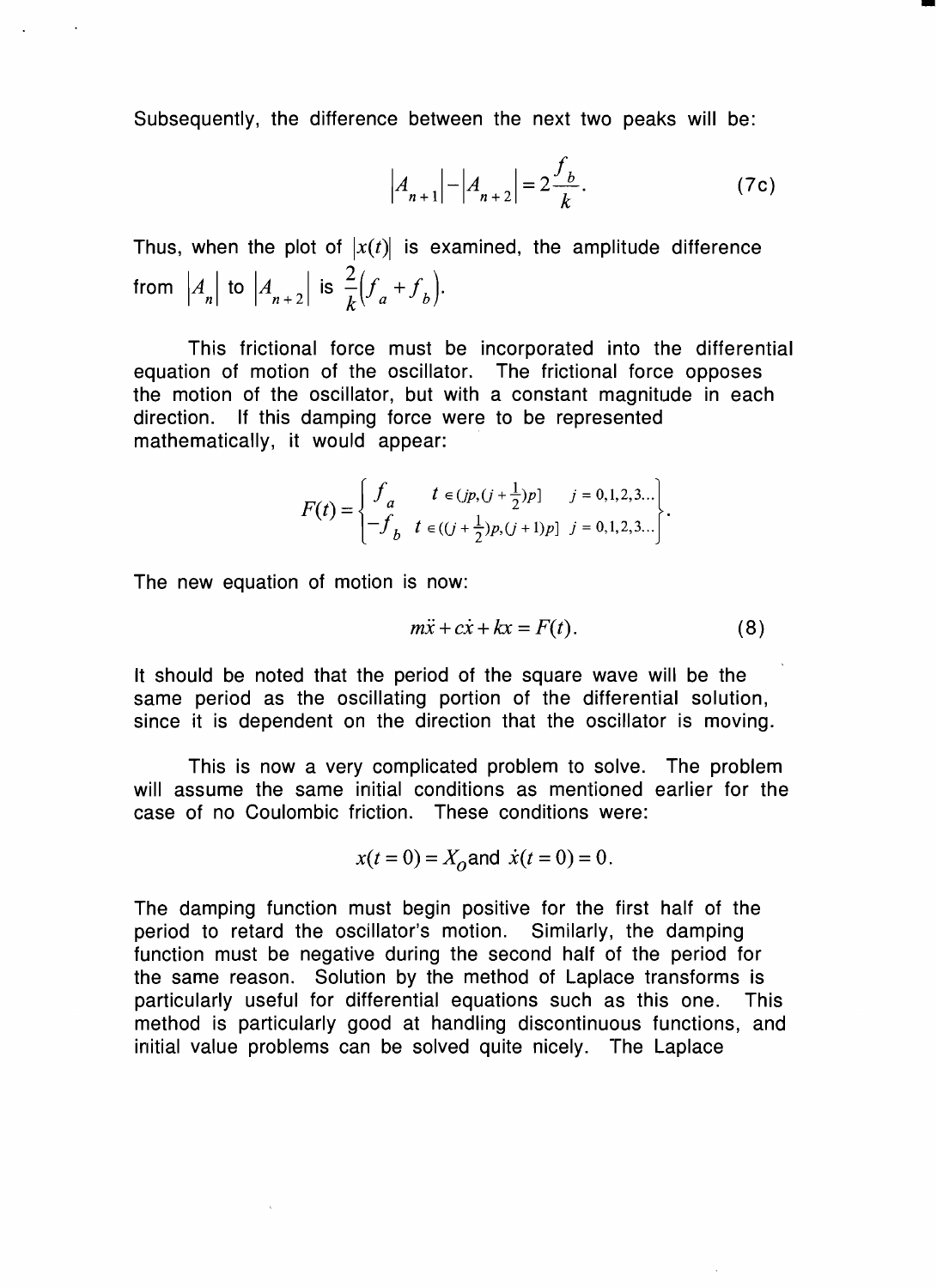Subsequently, the difference between the next two peaks will be:

$$
\left| A_{n+1} \right| - \left| A_{n+2} \right| = 2 \frac{f_b}{k}.
$$
 (7c)

-

Thus, when the plot of  $|x(t)|$  is examined, the amplitude difference from  $|A_n|$  to  $|A_{n+2}|$  is  $\frac{2}{k}(f_a + f_b)$ .

This frictional force must be incorporated into the differential equation of motion of the oscillator. The frictional force opposes the motion of the oscillator, but with a constant magnitude in each direction. If this damping force were to be represented mathematically, it would appear:

$$
F(t) = \begin{cases} f_a & t \in (jp, (j + \frac{1}{2})p] & j = 0, 1, 2, 3... \\ -f_b & t \in ((j + \frac{1}{2})p, (j + 1)p] & j = 0, 1, 2, 3... \end{cases}.
$$

The new equation of motion is now:

$$
m\ddot{x} + c\dot{x} + kx = F(t). \tag{8}
$$

It should be noted that the period of the square wave will be the same period as the oscillating portion of the differential solution, since it is dependent on the direction that the oscillator is moving.

This is now a very complicated problem to solve. The problem will assume the same initial conditions as mentioned earlier for the case of no Coulombic friction. These conditions were:

$$
x(t = 0) = X_0
$$
 and  $\dot{x}(t = 0) = 0$ .

The damping function must begin positive for the first half of the period to retard the oscillator's motion. Similarly, the damping function must be negative during the second half of the period for the same reason. Solution by the method of Laplace transforms is particularly useful for differential equations such as this one. This method is particularly good at handling discontinuous functions, and initial value problems can be solved quite nicely. The Laplace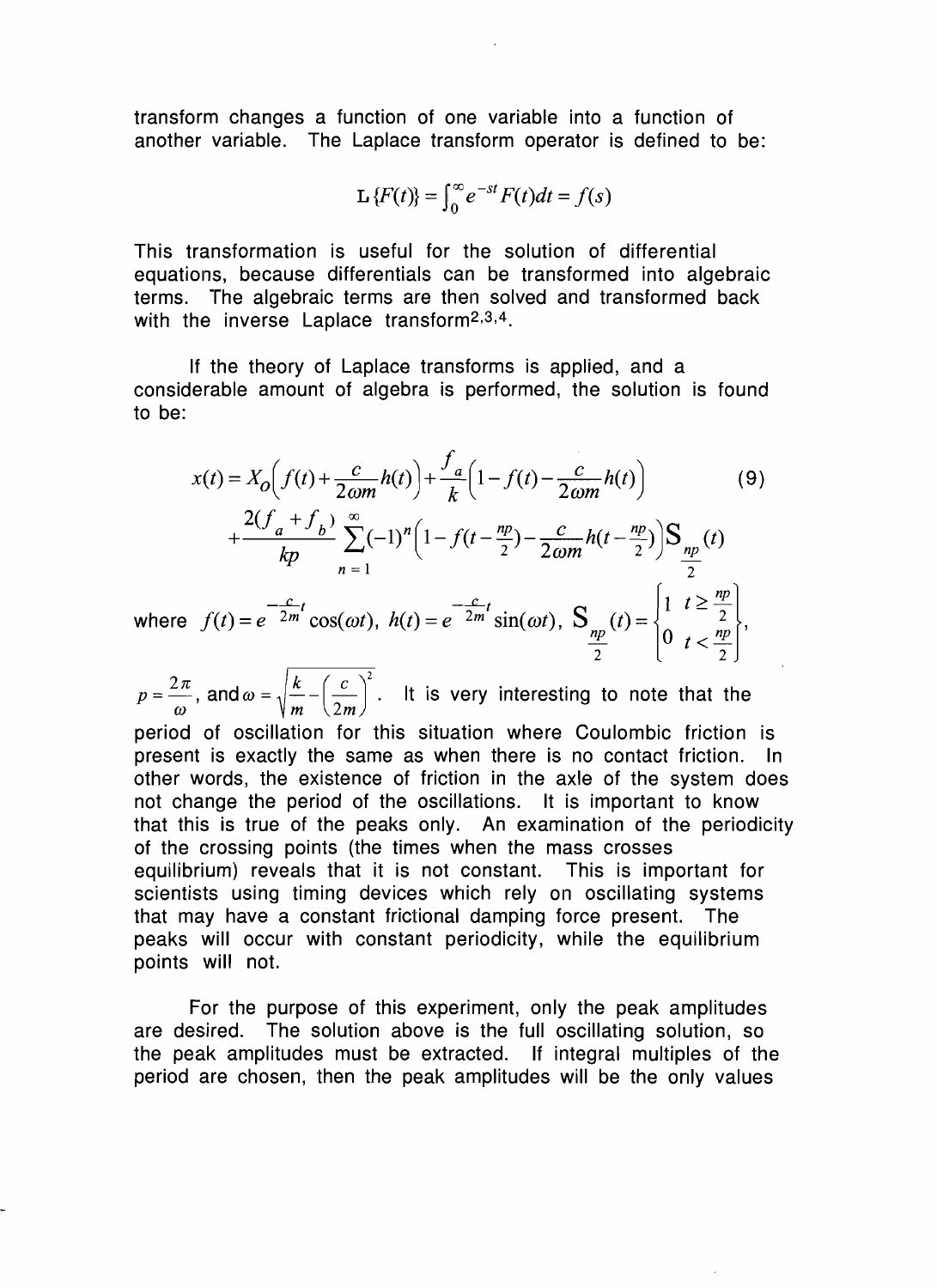transform changes a function of one variable into a function of another variable. The Laplace transform operator is defined to be:

$$
\mathbf{L}\left\{F(t)\right\} = \int_0^\infty e^{-st} F(t) dt = f(s)
$$

This transformation is useful for the solution of differential equations, because differentials can be transformed into algebraic terms. The algebraic terms are then solved and transformed back with the inverse Laplace transform<sup>2,3,4</sup>.

If the theory of Laplace transforms is applied, and a considerable amount of algebra is performed, the solution is found to be:

$$
x(t) = X_0 \left( f(t) + \frac{c}{2\omega m} h(t) \right) + \frac{f_a}{k} \left( 1 - f(t) - \frac{c}{2\omega m} h(t) \right) \tag{9}
$$
  
+ 
$$
\frac{2(f_a + f_b)}{kp} \sum_{n=1}^{\infty} (-1)^n \left( 1 - f(t - \frac{np}{2}) - \frac{c}{2\omega m} h(t - \frac{np}{2}) \right) \sum_{\substack{np \ p}} (t)
$$
  
where  $f(t) = e^{-\frac{c}{2m}t} \cos(\omega t), h(t) = e^{-\frac{c}{2m}t} \sin(\omega t), S_{\frac{np}{2}}(t) = \begin{cases} 1 & t \ge \frac{np}{2} \\ 0 & t < \frac{np}{2} \end{cases},$ 

 $p = \frac{2\pi}{\omega}$ , and  $\omega = \sqrt{\frac{k}{m} - \left(\frac{c}{2m}\right)^2}$ . It is very interesting to note that the

period of oscillation for this situation where Coulombic friction is present is exactly the same as when there is no contact friction. In other words, the existence of friction in the axle of the system does not change the period of the oscillations. It is important to know that this is true of the peaks only. An examination of the periodicity of the crossing points (the times when the mass crosses equilibrium) reveals that it is not constant. This is important for scientists using timing devices which rely on oscillating systems that may have a constant frictional damping force present. The peaks will occur with constant periodicity, while the equilibrium points will not.

For the purpose of this experiment, only the peak amplitudes are desired. The solution above is the full oscillating solution, so the peak amplitudes must be extracted. If integral multiples of the period are chosen, then the peak amplitudes will be the only values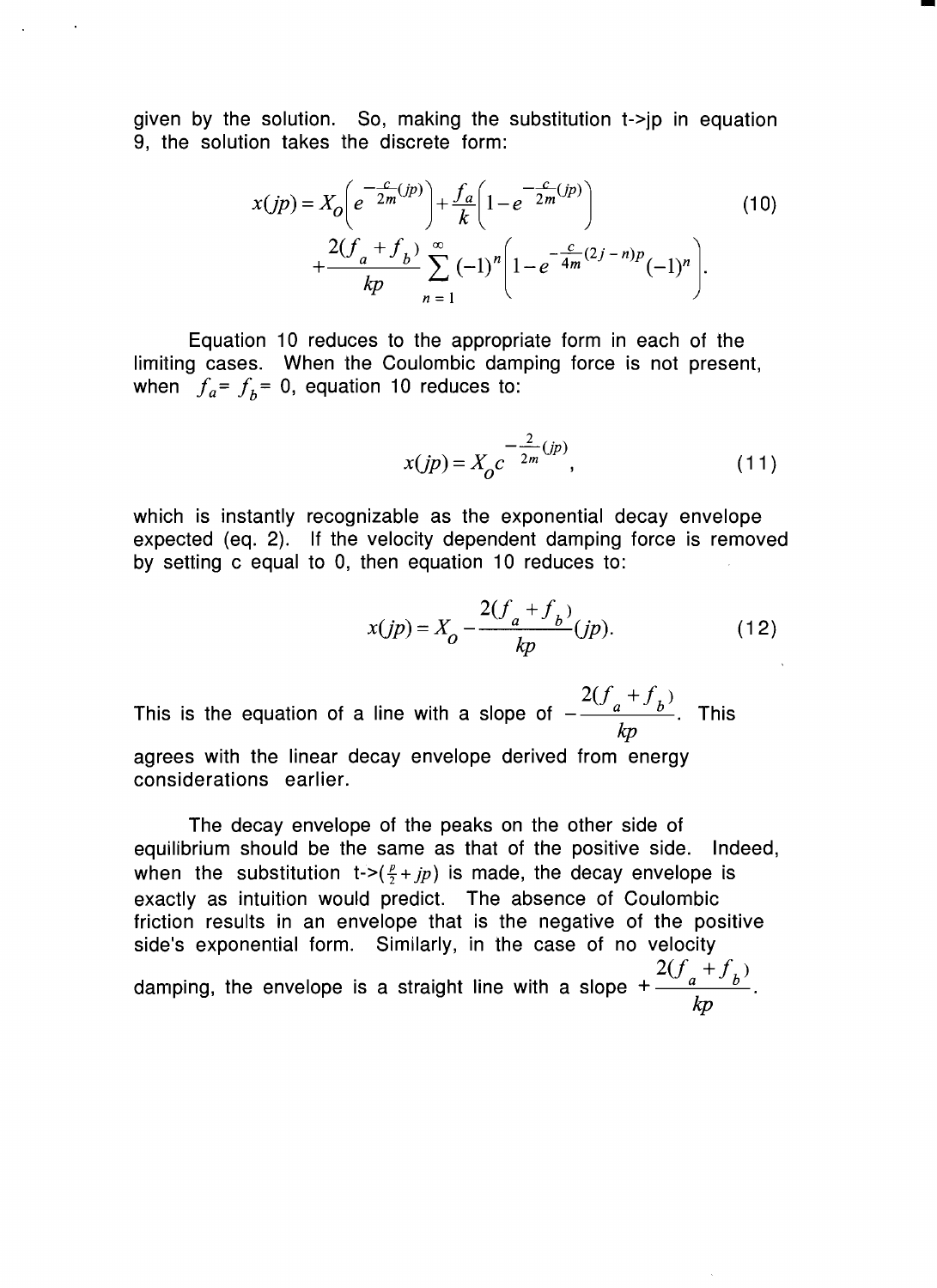given by the solution. So, making the substitution  $t\rightarrow$  in equation 9, the solution takes the discrete form:

$$
x(jp) = X_0 \left( e^{-\frac{c}{2m}(jp)} \right) + \frac{f_a}{k} \left( 1 - e^{-\frac{c}{2m}(jp)} \right)
$$
  
+ 
$$
\frac{2(f_a + f_b)}{kp} \sum_{n=1}^{\infty} (-1)^n \left( 1 - e^{-\frac{c}{4m}(2j - n)p} (-1)^n \right).
$$
 (10)

Equation 10 reduces to the appropriate form in each of the limiting cases. When the Coulombic damping force is not present, when  $\int f_a = f_b = 0$ , equation 10 reduces to:

$$
x(jp) = X_0 c^{-\frac{2}{2m}(jp)},
$$
\n(11)

-

which is instantly recognizable as the exponential decay envelope expected (eq. 2). If the velocity dependent damping force is removed by setting c equal to 0, then equation 10 reduces to:

$$
x(jp) = X_0 - \frac{2(f_a + f_b)}{kp}(jp).
$$
 (12)

 $2(f_a + f_b)$ This is the equation of a line with a slope of  $-\frac{(\sqrt{a^2-b^2})}{2}$ . This *kp*  agrees with the linear decay envelope derived from energy considerations earlier.

The decay envelope of the peaks on the other side of equilibrium should be the same as that of the positive side. Indeed, when the substitution  $t$ ->( $\frac{p}{2}$ + *jp*) is made, the decay envelope is exactly as intuition would predict. The absence of Coulombic friction results in an envelope that is the negative of the positive side's exponential form. Similarly, in the case of no velocity damping, the envelope is a straight line with a slope  $+\frac{2(f_a+f_b)}{f_a}$ . *kp*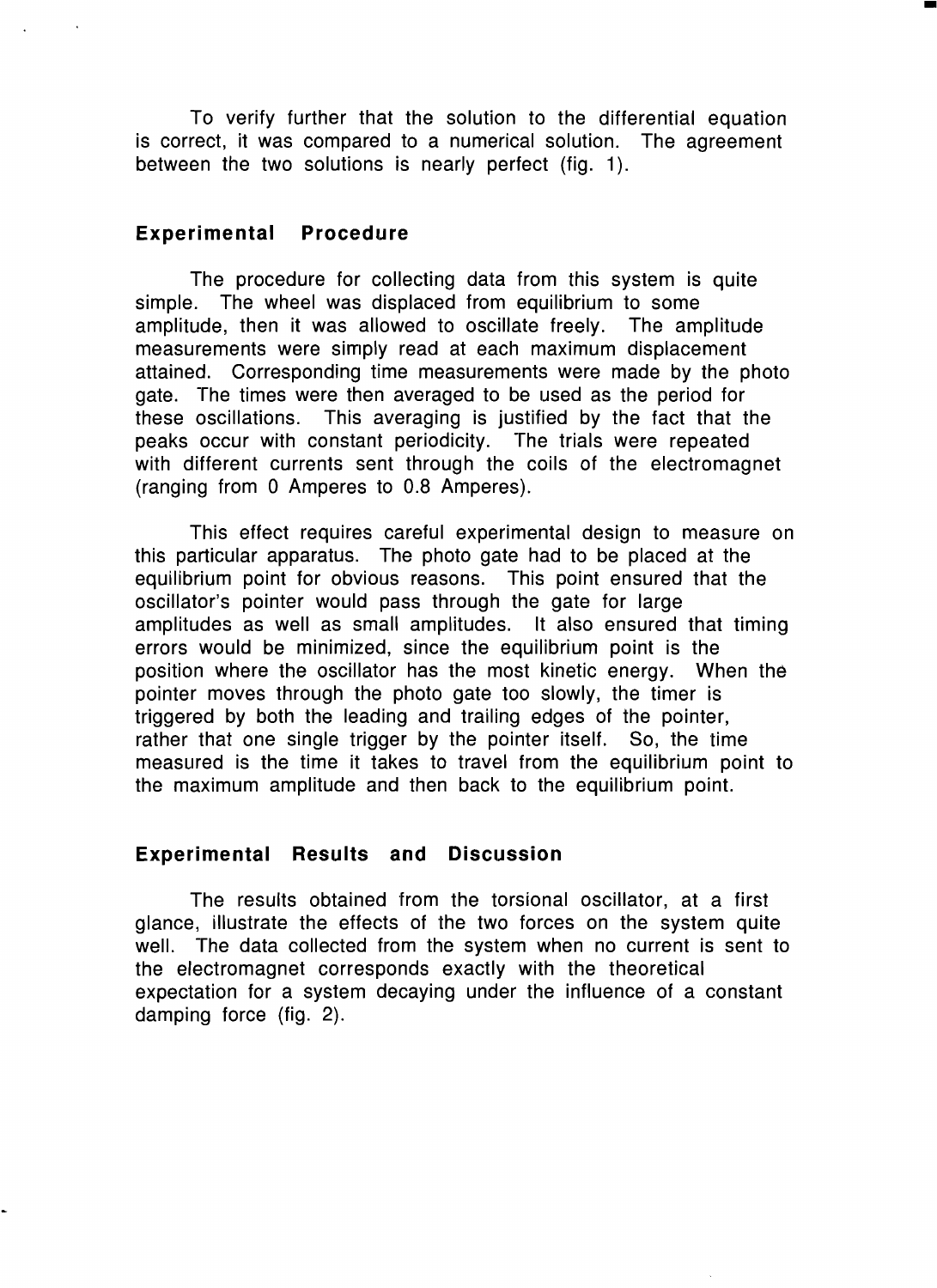To verify further that the solution to the differential equation is correct, it was compared to a numerical solution. The agreement between the two solutions is nearly perfect (fig. 1).

•

#### **Experimental Procedure**

The procedure for collecting data from this system is quite simple. The wheel was displaced from equilibrium to some amplitude, then it was allowed to oscillate freely. The amplitude measurements were simply read at each maximum displacement attained. Corresponding time measurements were made by the photo gate. The times were then averaged to be used as the period for these oscillations. This averaging is justified by the fact that the peaks occur with constant periodicity. The trials were repeated with different currents sent through the coils of the electromagnet (ranging from 0 Amperes to 0.8 Amperes).

This effect requires careful experimental design to measure on this particular apparatus. The photo gate had to be placed at the equilibrium point for obvious reasons. This point ensured that the oscillator's pointer would pass through the gate for large amplitudes as well as small amplitudes. It also ensured that timing errors would be minimized, since the equilibrium point is the position where the oscillator has the most kinetic energy. When the pointer moves through the photo gate too slowly, the timer is triggered by both the leading and trailing edges of the pointer, rather that one single trigger by the pointer itself. So, the time measured is the time it takes to travel from the equilibrium point to the maximum amplitude and then back to the equilibrium point.

#### **Experimental Results and Discussion**

The results obtained from the torsional oscillator, at a first glance, illustrate the effects of the two forces on the system quite well. The data collected from the system when no current is sent to the electromagnet corresponds exactly with the theoretical expectation for a system decaying under the influence of a constant damping force (fig. 2).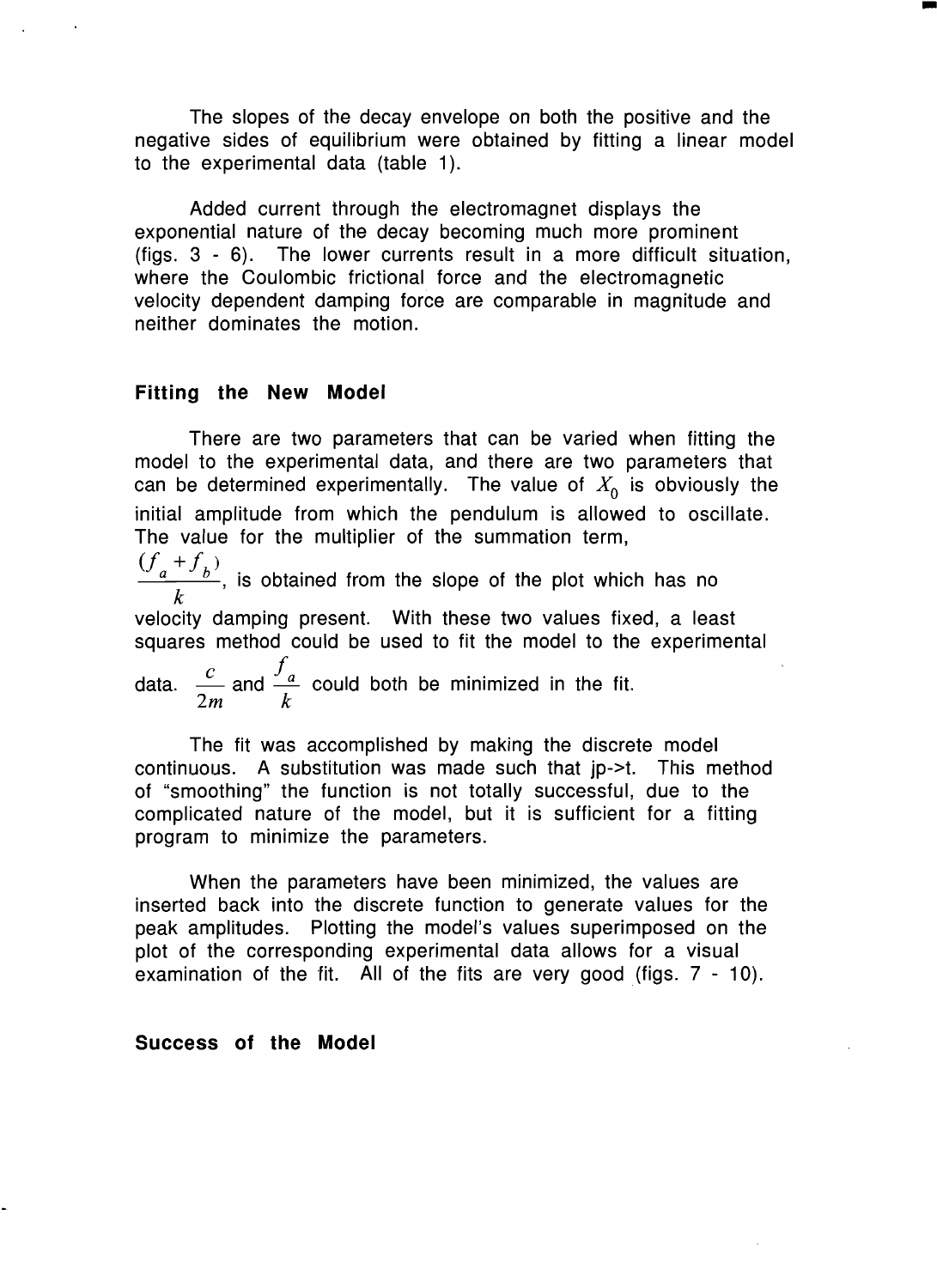The slopes of the decay envelope on both the positive and the negative sides of equilibrium were obtained by fitting a linear model to the experimental data (table 1).

•

Added current through the electromagnet displays the exponential nature of the decay becoming much more prominent (figs. 3 - 6). The lower currents result in a more difficult situation, where the Coulombic frictional force and the electromagnetic velocity dependent damping force are comparable in magnitude and neither dominates the motion.

#### **Fitting the New Model**

There are two parameters that can be varied when fitting the model to the experimental data, and there are two parameters that can be determined experimentally. The value of  $X_0$  is obviously the initial amplitude from which the pendulum is allowed to oscillate. The value for the multiplier of the summation term,  $(f_a+f_b)$  $\frac{a}{b}$ , is obtained from the slope of the plot which has no *k*  velocity damping present. With these two values fixed, a least squares method could be used to fit the model to the experimental  $\int$ data.  $\frac{a}{n}$  and  $\frac{a}{n}$  could both be minimized in the fit. *2m k* 

The fit was accomplished by making the discrete model continuous. A substitution was made such that ip->t. This method of "smoothing" the function is not totally successful, due to the complicated nature of the model, but it is sufficient for a fitting program to minimize the parameters.

When the parameters have been minimized, the values are inserted back into the discrete function to generate values for the peak amplitudes. Plotting the model's values superimposed on the plot of the corresponding experimental data allows for a visual examination of the fit. All of the fits are very good (figs.  $7 - 10$ ).

#### **Success of the Model**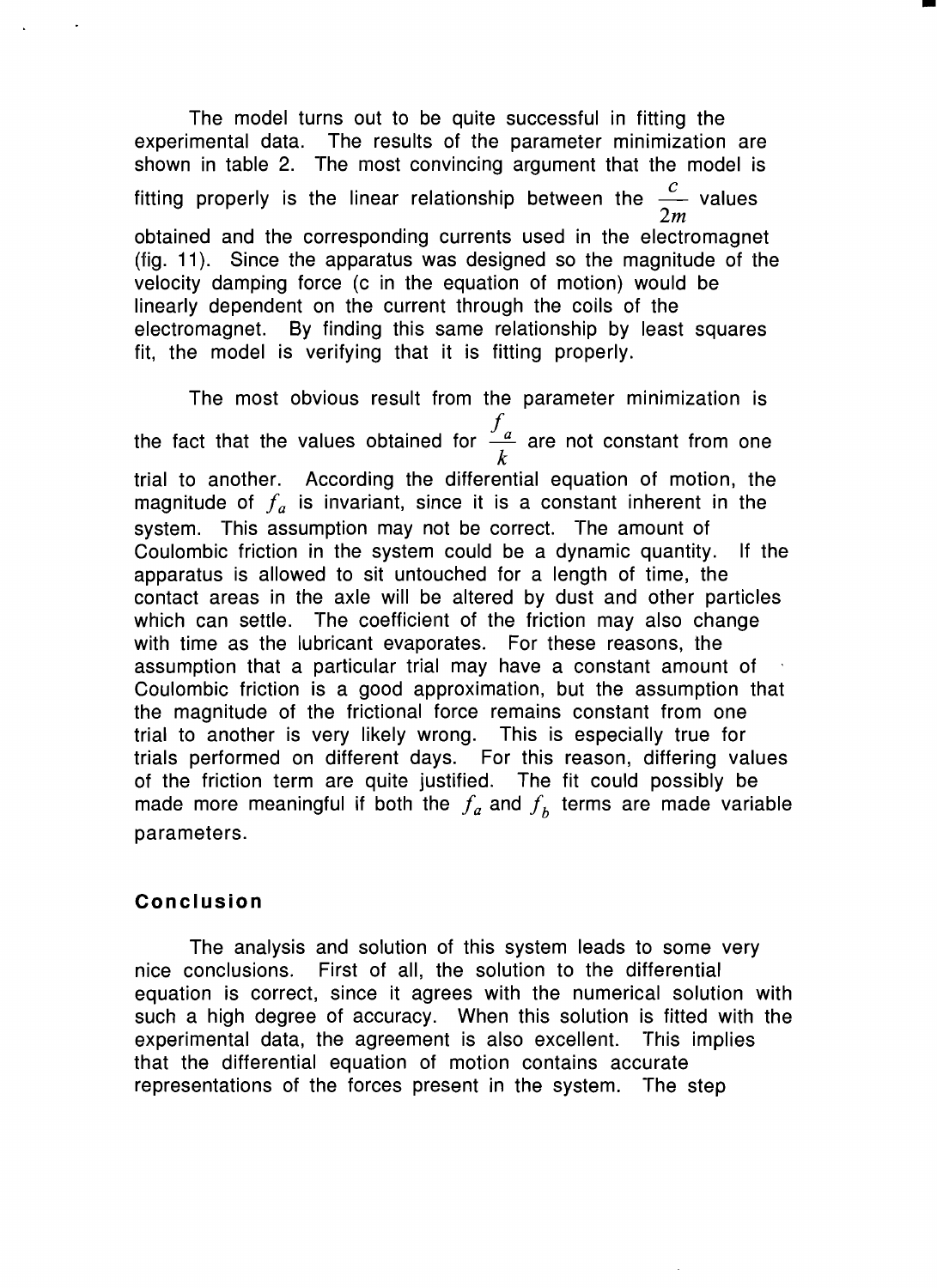The model turns out to be quite successful in fitting the experimental data. The results of the parameter minimization are shown in table 2. The most convincing argument that the model is fitting properly is the linear relationship between the  $\frac{1}{2}$  values *2m*  obtained and the corresponding currents used in the electromagnet (fig. 11). Since the apparatus was designed so the magnitude of the velocity damping force (c in the equation of motion) would be linearly dependent on the current through the coils of the electromagnet. By finding this same relationship by least squares fit, the model is verifying that it is fitting properly.

-

The most obvious result from the parameter minimization is  $\int$ the fact that the values obtained for  $\frac{a}{1}$  are not constant from one *k*  trial to another. According the differential equation of motion, the magnitude of  $f_a$  is invariant, since it is a constant inherent in the system. This assumption may not be correct. The amount of Coulombic friction in the system could be a dynamic quantity. If the apparatus is allowed to sit untouched for a length of time, the contact areas in the axle will be altered by dust and other particles which can settle. The coefficient of the friction may also change with time as the lubricant evaporates. For these reasons, the assumption that a particular trial may have a constant amount of Coulombic friction is a good approximation, but the assumption that the magnitude of the frictional force remains constant from one trial to another is very likely wrong. This is especially true for trials performed on different days. For this reason, differing values of the friction term are quite justified. The fit could possibly be made more meaningful if both the  $f_a$  and  $f_b$  terms are made variable parameters.

## **Conclusion**

The analysis and solution of this system leads to some very nice conclusions. First of all, the solution to the differential equation is correct, since it agrees with the numerical solution with such a high degree of accuracy. When this solution is fitted with the experimental data, the agreement is also excellent. This implies that the differential equation of motion contains accurate representations of the forces present in the system. The step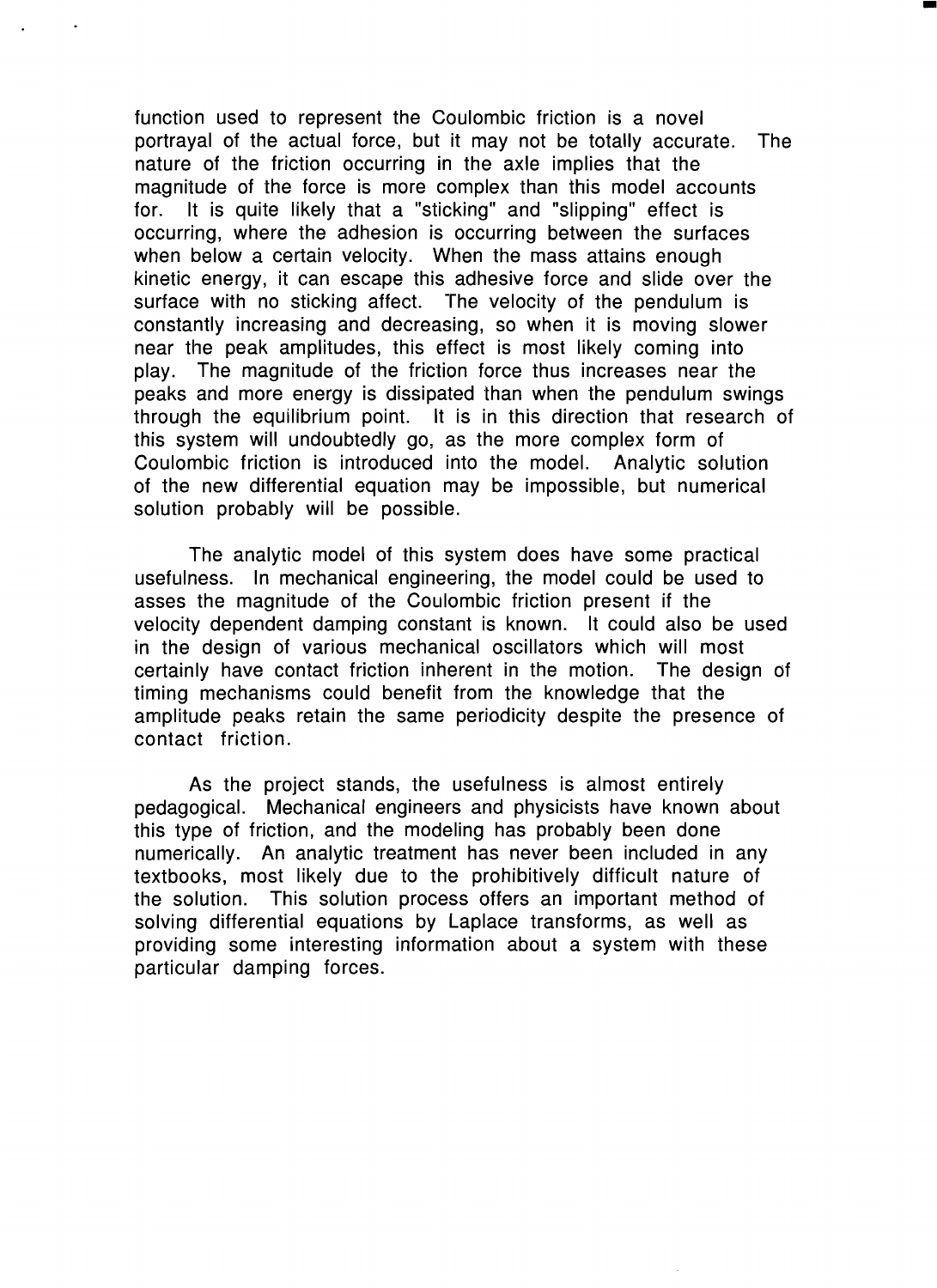function used to represent the Coulombic friction is a novel portrayal of the actual force, but it may not be totally accurate. The nature of the friction occurring in the axle implies that the magnitude of the force is more complex than this model accounts for. It is quite likely that a "sticking" and "slipping" effect is occurring, where the adhesion is occurring between the surfaces when below a certain velocity. When the mass attains enough kinetic energy, it can escape this adhesive force and slide over the surface with no sticking affect. The velocity of the pendulum is constantly increasing and decreasing, so when it is moving slower near the peak amplitudes, this effect is most likely coming into play. The magnitude of the friction force thus increases near the peaks and more energy is dissipated than when the pendulum swings through the equilibrium point. It is in this direction that research of this system will undoubtedly go, as the more complex form of Coulombic friction is introduced into the model. Analytic solution of the new differential equation may be impossible, but numerical solution probably will be possible.

-

The analytic model of this system does have some practical usefulness. In mechanical engineering, the model could be used to asses the magnitude of the Coulombic friction present if the velocity dependent damping constant is known. It could also be used in the design of various mechanical oscillators which will most certainly have contact friction inherent in the motion. The design of timing mechanisms could benefit from the knowledge that the amplitude peaks retain the same periodicity despite the presence of contact friction.

As the project stands, the usefulness is almost entirely pedagogical. Mechanical engineers and physicists have known about this type of friction, and the modeling has probably been done numerically. An analytic treatment has never been included in any textbooks, most likely due to the prohibitively difficult nature of the solution. This solution process offers an important method of solving differential equations by Laplace transforms, as well as providing some interesting information about a system with these particular damping forces.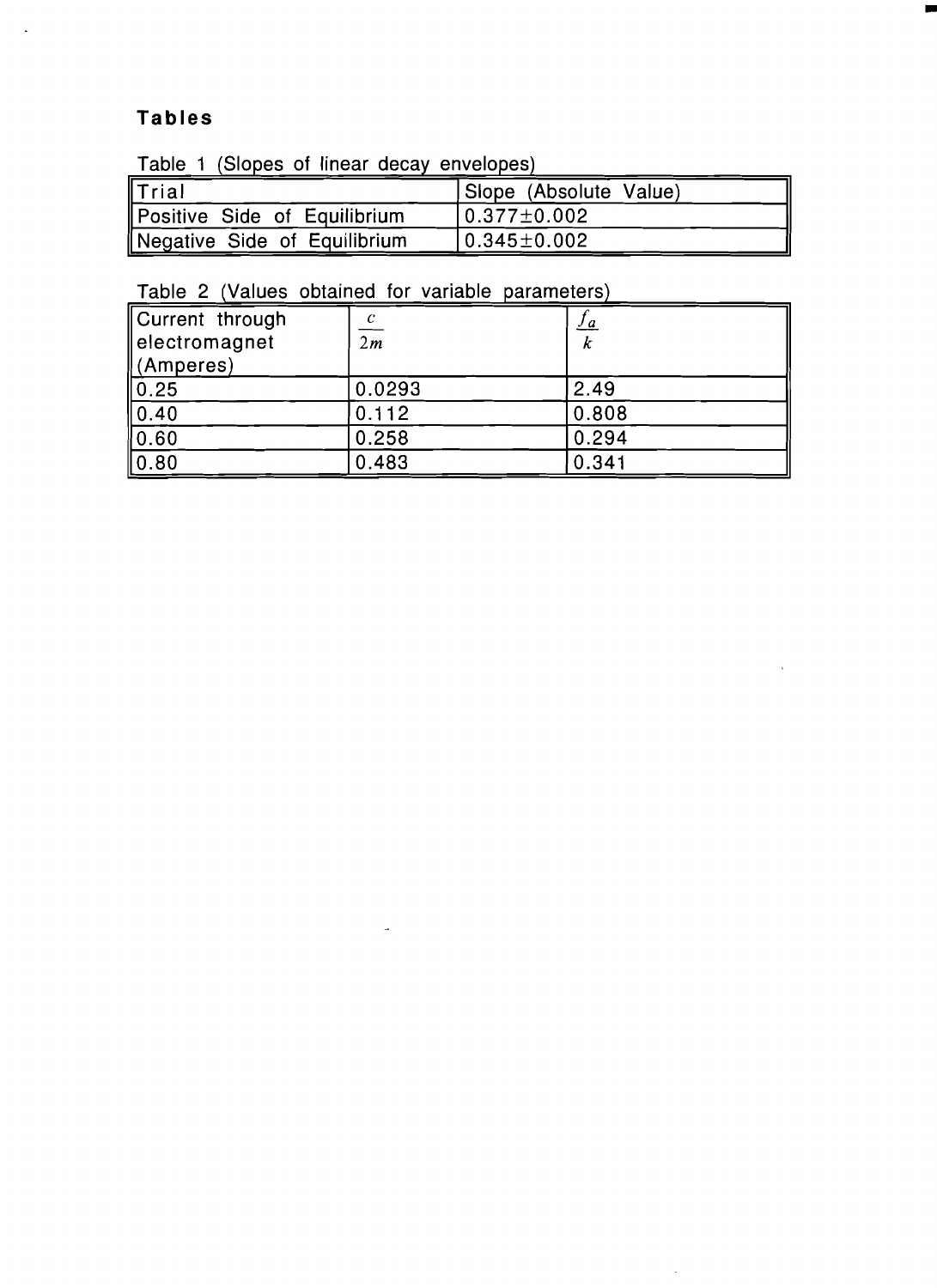## **Tables**

 $\ddot{\phantom{0}}$ 

Table 1 (Slopes of linear decay envelopes)

| <b>I</b> Trial               | Slope (Absolute Value)            |
|------------------------------|-----------------------------------|
| Positive Side of Equilibrium | l0.377±0.002                      |
| Negative Side of Equilibrium | $\vert$ 0.345 $\pm$ 0.002 $\vert$ |

•

# Table 2 (Values obtained for variable parameters)

| Current through | С               | <u>s a</u> |
|-----------------|-----------------|------------|
| electromagnet   | $\overline{2m}$ | ĸ          |
| (Amperes)       |                 |            |
| 0.25            | 0.0293          | 2.49       |
| 0.40            | 0.112           | 0.808      |
| 0.60            | 0.258           | 0.294      |
| 0.80            | 0.483           | 0.341      |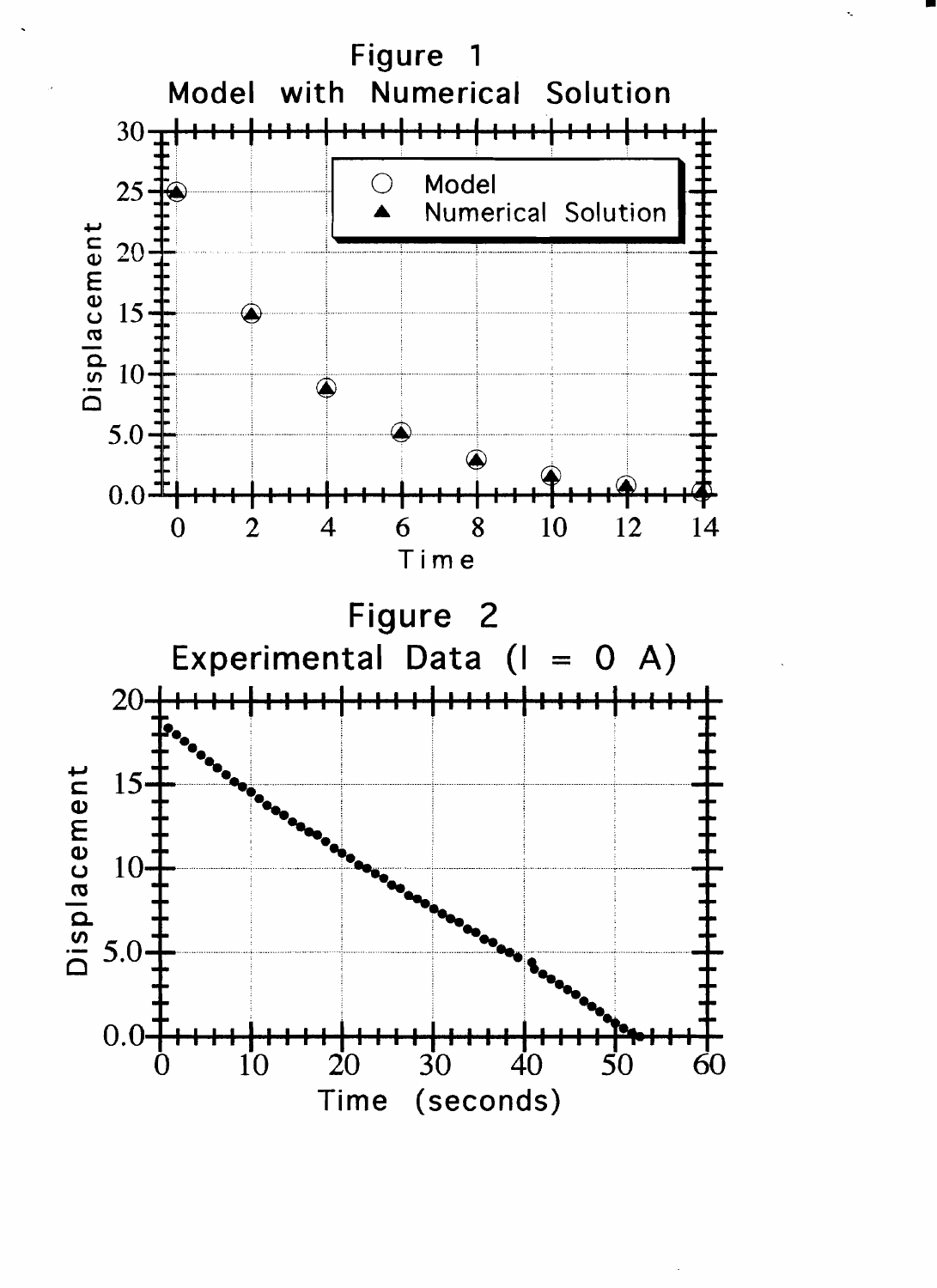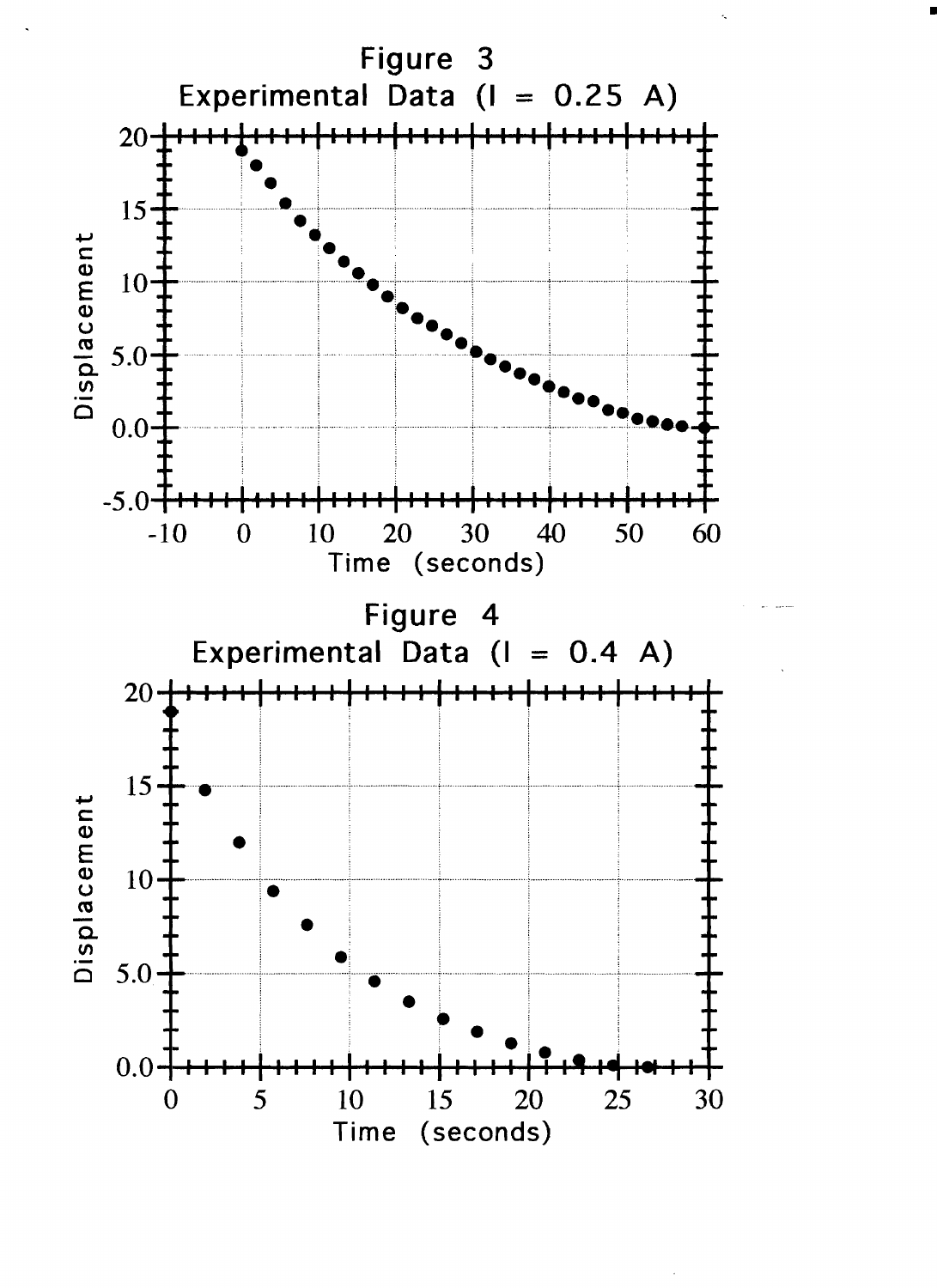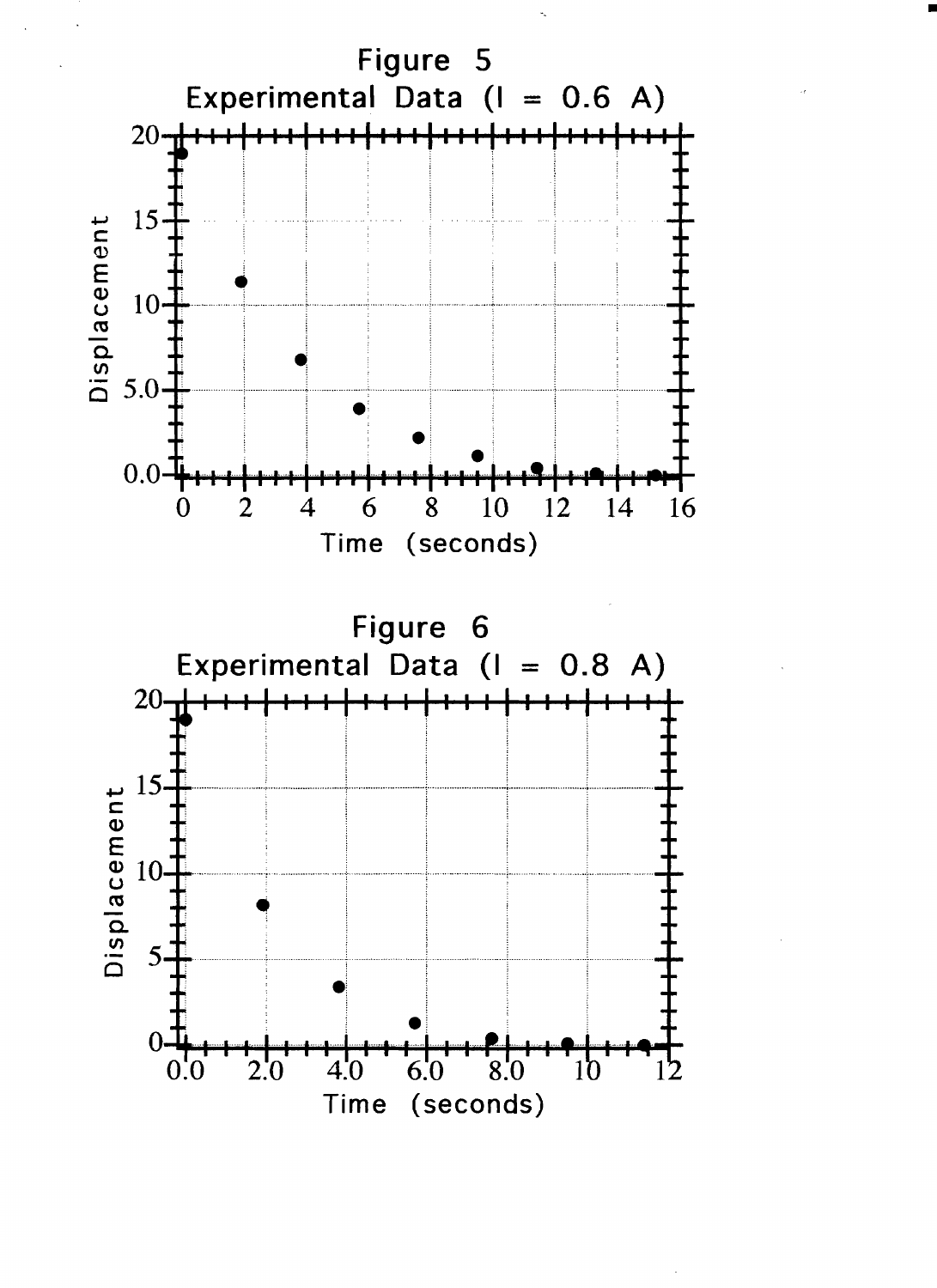

•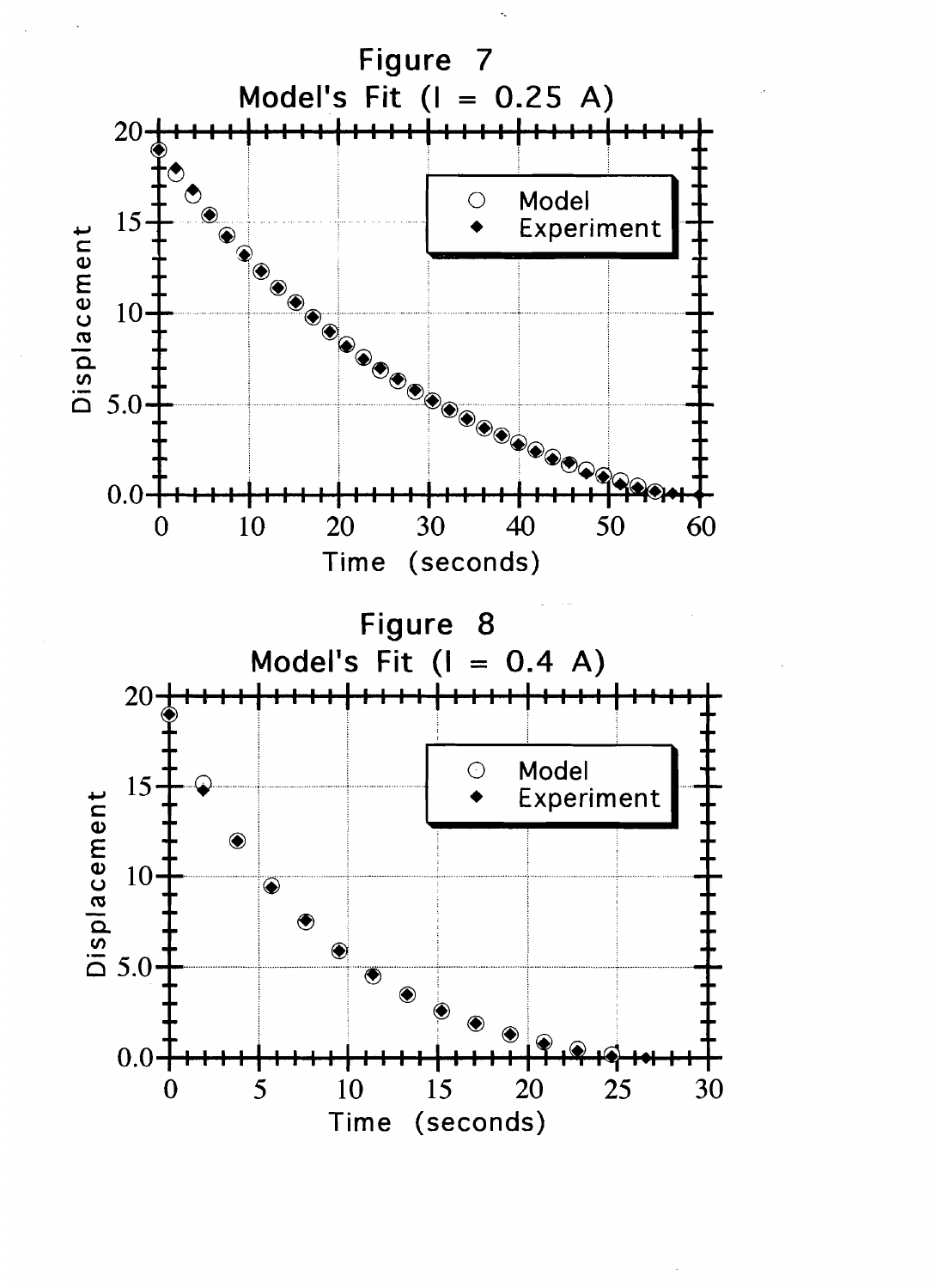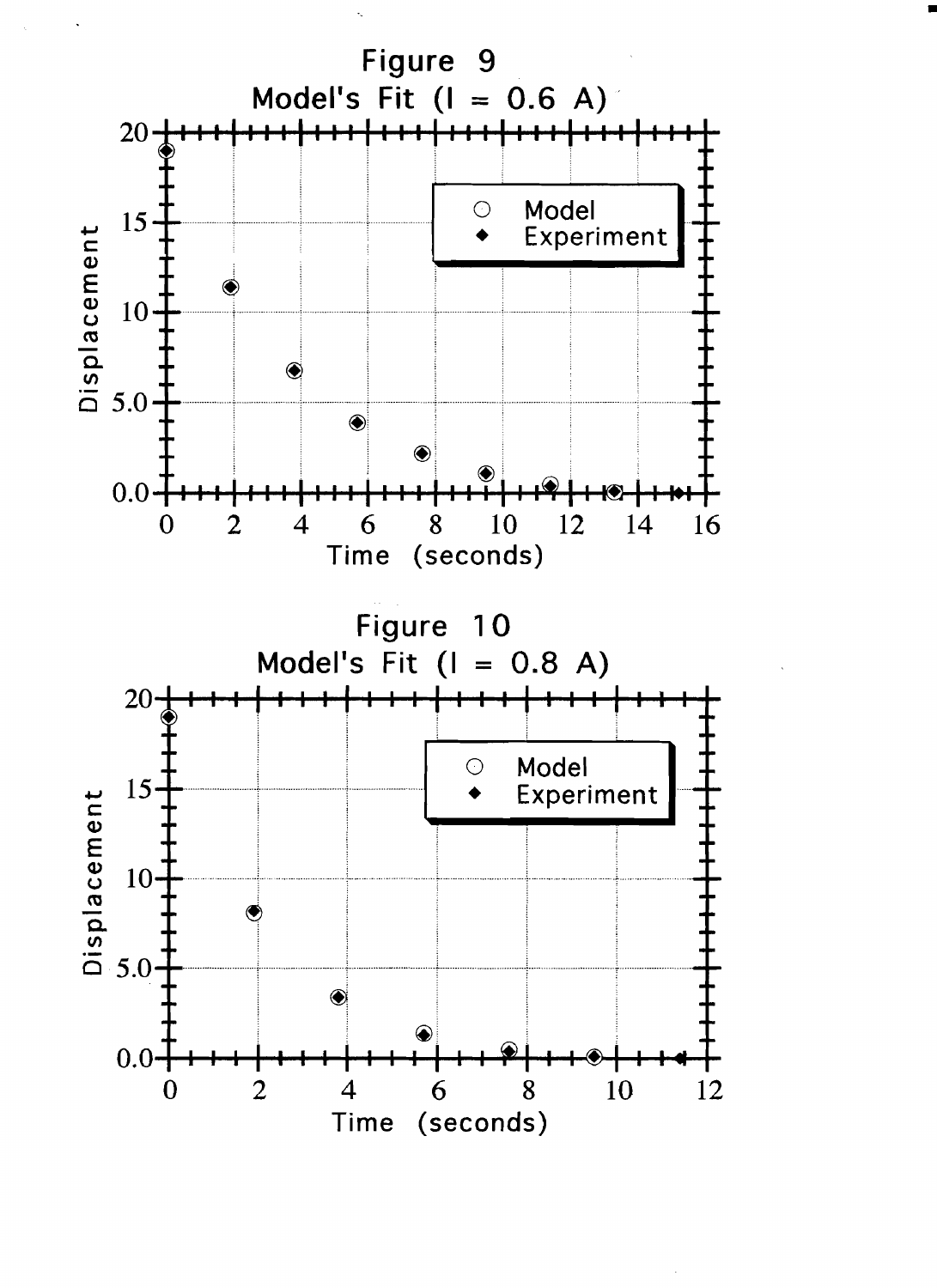

•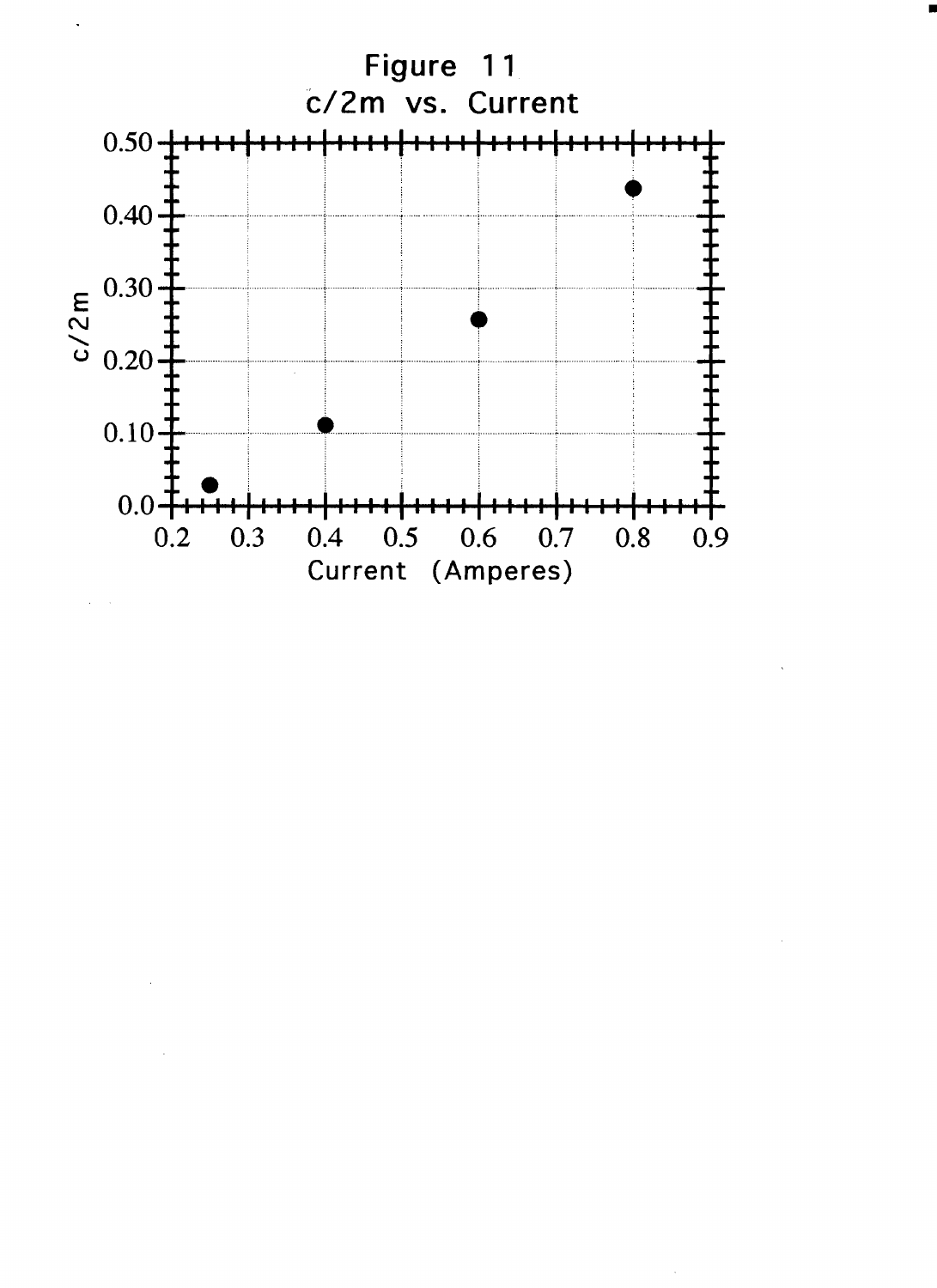